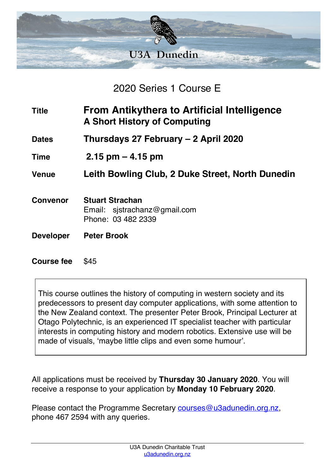

2020 Series 1 Course E

| <b>Title</b>      | From Antikythera to Artificial Intelligence<br><b>A Short History of Computing</b> |
|-------------------|------------------------------------------------------------------------------------|
| <b>Dates</b>      | Thursdays 27 February - 2 April 2020                                               |
| <b>Time</b>       | $2.15$ pm $-$ 4.15 pm                                                              |
| <b>Venue</b>      | Leith Bowling Club, 2 Duke Street, North Dunedin                                   |
| <b>Convenor</b>   | <b>Stuart Strachan</b><br>Email: sistrachanz@gmail.com<br>Phone: 03 482 2339       |
| <b>Developer</b>  | <b>Peter Brook</b>                                                                 |
| <b>Course fee</b> | \$45                                                                               |

This course outlines the history of computing in western society and its predecessors to present day computer applications, with some attention to the New Zealand context. The presenter Peter Brook, Principal Lecturer at Otago Polytechnic, is an experienced IT specialist teacher with particular interests in computing history and modern robotics. Extensive use will be made of visuals, 'maybe little clips and even some humour'.

All applications must be received by **Thursday 30 January 2020**. You will receive a response to your application by **Monday 10 February 2020**.

Please contact the Programme Secretary courses@u3adunedin.org.nz, phone 467 2594 with any queries.